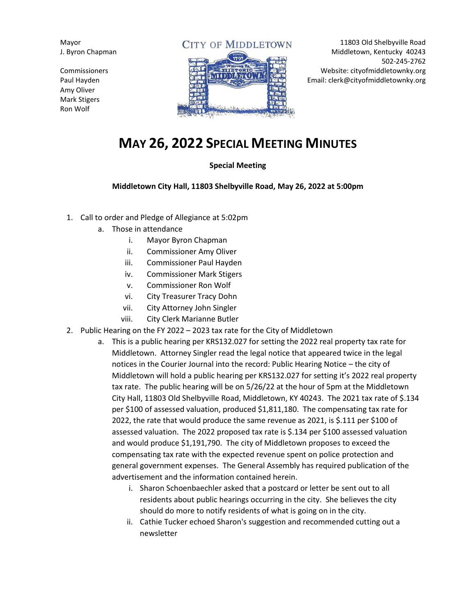Mayor J. Byron Chapman

Commissioners Paul Hayden Amy Oliver Mark Stigers Ron Wolf

## **CITY OF MIDDLETOWN**



11803 Old Shelbyville Road Middletown, Kentucky 40243 502-245-2762 Website: cityofmiddletownky.org Email: clerk@cityofmiddletownky.org

## **MAY 26, 2022 SPECIAL MEETING MINUTES**

## **Special Meeting**

**Middletown City Hall, 11803 Shelbyville Road, May 26, 2022 at 5:00pm**

- 1. Call to order and Pledge of Allegiance at 5:02pm
	- a. Those in attendance
		- i. Mayor Byron Chapman
		- ii. Commissioner Amy Oliver
		- iii. Commissioner Paul Hayden
		- iv. Commissioner Mark Stigers
		- v. Commissioner Ron Wolf
		- vi. City Treasurer Tracy Dohn
		- vii. City Attorney John Singler
		- viii. City Clerk Marianne Butler
- 2. Public Hearing on the FY 2022 2023 tax rate for the City of Middletown
	- a. This is a public hearing per KRS132.027 for setting the 2022 real property tax rate for Middletown. Attorney Singler read the legal notice that appeared twice in the legal notices in the Courier Journal into the record: Public Hearing Notice – the city of Middletown will hold a public hearing per KRS132.027 for setting it's 2022 real property tax rate. The public hearing will be on 5/26/22 at the hour of 5pm at the Middletown City Hall, 11803 Old Shelbyville Road, Middletown, KY 40243. The 2021 tax rate of \$.134 per \$100 of assessed valuation, produced \$1,811,180. The compensating tax rate for 2022, the rate that would produce the same revenue as 2021, is \$.111 per \$100 of assessed valuation. The 2022 proposed tax rate is \$.134 per \$100 assessed valuation and would produce \$1,191,790. The city of Middletown proposes to exceed the compensating tax rate with the expected revenue spent on police protection and general government expenses. The General Assembly has required publication of the advertisement and the information contained herein.
		- i. Sharon Schoenbaechler asked that a postcard or letter be sent out to all residents about public hearings occurring in the city. She believes the city should do more to notify residents of what is going on in the city.
		- ii. Cathie Tucker echoed Sharon's suggestion and recommended cutting out a newsletter